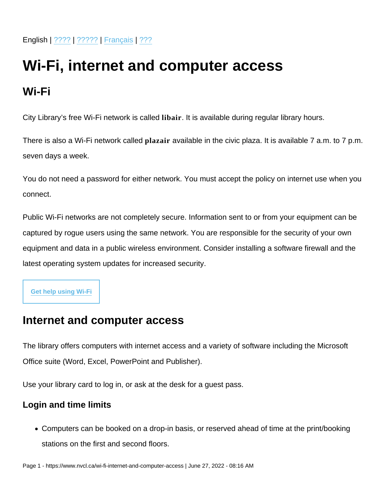## Wi-Fi, internet and computer access

## Wi-Fi

City Library's free Wi-Fi network is called libair . It is available during regular library hours.

There is also a Wi-Fi network called plazair available in the civic plaza. It is available 7 a.m. to 7 p.m. seven days a week.

You do not need a password for either network. You must accept the policy on internet use when you connect.

Public Wi-Fi networks are not completely secure. Information sent to or from your equipment can be captured by rogue users using the same network. You are responsible for the security of your own equipment and data in a public wireless environment. Consider installing a software firewall and the latest operating system updates for increased security.

[Get help using Wi-Fi](https://my.nicheacademy.com/nvcl/course/9246)

## Internet and computer access

The library offers computers with internet access and a variety of software including the Microsoft Office suite (Word, Excel, PowerPoint and Publisher).

Use your library card to log in, or ask at the desk for a guest pass.

Login and time limits

Computers can be booked on a drop-in basis, or reserved ahead of time at the print/booking stations on the first and second floors.